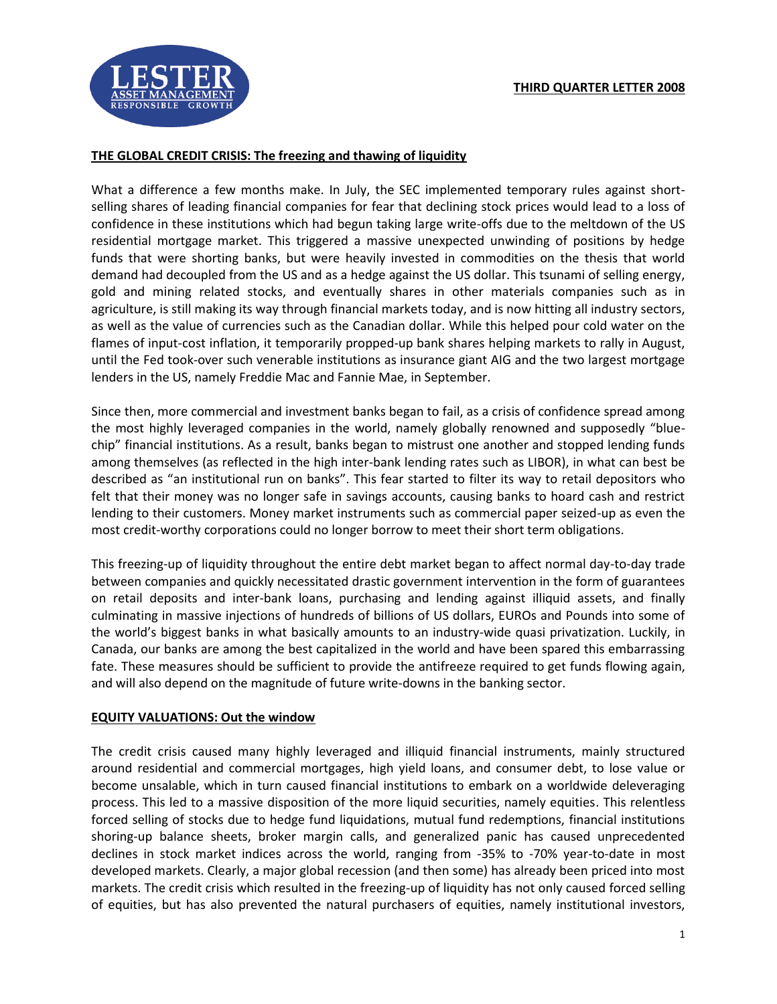

## **THE GLOBAL CREDIT CRISIS: The freezing and thawing of liquidity**

What a difference a few months make. In July, the SEC implemented temporary rules against shortselling shares of leading financial companies for fear that declining stock prices would lead to a loss of confidence in these institutions which had begun taking large write-offs due to the meltdown of the US residential mortgage market. This triggered a massive unexpected unwinding of positions by hedge funds that were shorting banks, but were heavily invested in commodities on the thesis that world demand had decoupled from the US and as a hedge against the US dollar. This tsunami of selling energy, gold and mining related stocks, and eventually shares in other materials companies such as in agriculture, is still making its way through financial markets today, and is now hitting all industry sectors, as well as the value of currencies such as the Canadian dollar. While this helped pour cold water on the flames of input-cost inflation, it temporarily propped-up bank shares helping markets to rally in August, until the Fed took-over such venerable institutions as insurance giant AIG and the two largest mortgage lenders in the US, namely Freddie Mac and Fannie Mae, in September.

Since then, more commercial and investment banks began to fail, as a crisis of confidence spread among the most highly leveraged companies in the world, namely globally renowned and supposedly "bluechip" financial institutions. As a result, banks began to mistrust one another and stopped lending funds among themselves (as reflected in the high inter-bank lending rates such as LIBOR), in what can best be described as "an institutional run on banks". This fear started to filter its way to retail depositors who felt that their money was no longer safe in savings accounts, causing banks to hoard cash and restrict lending to their customers. Money market instruments such as commercial paper seized-up as even the most credit-worthy corporations could no longer borrow to meet their short term obligations.

This freezing-up of liquidity throughout the entire debt market began to affect normal day-to-day trade between companies and quickly necessitated drastic government intervention in the form of guarantees on retail deposits and inter-bank loans, purchasing and lending against illiquid assets, and finally culminating in massive injections of hundreds of billions of US dollars, EUROs and Pounds into some of the world's biggest banks in what basically amounts to an industry-wide quasi privatization. Luckily, in Canada, our banks are among the best capitalized in the world and have been spared this embarrassing fate. These measures should be sufficient to provide the antifreeze required to get funds flowing again, and will also depend on the magnitude of future write-downs in the banking sector.

## **EQUITY VALUATIONS: Out the window**

The credit crisis caused many highly leveraged and illiquid financial instruments, mainly structured around residential and commercial mortgages, high yield loans, and consumer debt, to lose value or become unsalable, which in turn caused financial institutions to embark on a worldwide deleveraging process. This led to a massive disposition of the more liquid securities, namely equities. This relentless forced selling of stocks due to hedge fund liquidations, mutual fund redemptions, financial institutions shoring-up balance sheets, broker margin calls, and generalized panic has caused unprecedented declines in stock market indices across the world, ranging from -35% to -70% year-to-date in most developed markets. Clearly, a major global recession (and then some) has already been priced into most markets. The credit crisis which resulted in the freezing-up of liquidity has not only caused forced selling of equities, but has also prevented the natural purchasers of equities, namely institutional investors,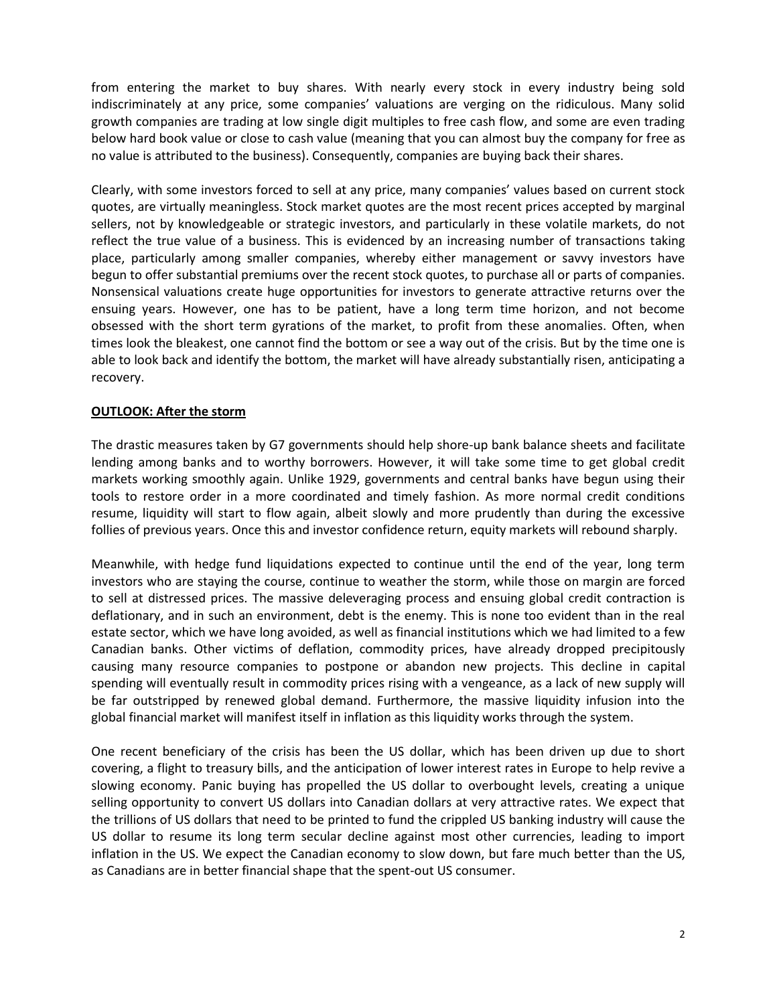from entering the market to buy shares. With nearly every stock in every industry being sold indiscriminately at any price, some companies' valuations are verging on the ridiculous. Many solid growth companies are trading at low single digit multiples to free cash flow, and some are even trading below hard book value or close to cash value (meaning that you can almost buy the company for free as no value is attributed to the business). Consequently, companies are buying back their shares.

Clearly, with some investors forced to sell at any price, many companies' values based on current stock quotes, are virtually meaningless. Stock market quotes are the most recent prices accepted by marginal sellers, not by knowledgeable or strategic investors, and particularly in these volatile markets, do not reflect the true value of a business. This is evidenced by an increasing number of transactions taking place, particularly among smaller companies, whereby either management or savvy investors have begun to offer substantial premiums over the recent stock quotes, to purchase all or parts of companies. Nonsensical valuations create huge opportunities for investors to generate attractive returns over the ensuing years. However, one has to be patient, have a long term time horizon, and not become obsessed with the short term gyrations of the market, to profit from these anomalies. Often, when times look the bleakest, one cannot find the bottom or see a way out of the crisis. But by the time one is able to look back and identify the bottom, the market will have already substantially risen, anticipating a recovery.

## **OUTLOOK: After the storm**

The drastic measures taken by G7 governments should help shore-up bank balance sheets and facilitate lending among banks and to worthy borrowers. However, it will take some time to get global credit markets working smoothly again. Unlike 1929, governments and central banks have begun using their tools to restore order in a more coordinated and timely fashion. As more normal credit conditions resume, liquidity will start to flow again, albeit slowly and more prudently than during the excessive follies of previous years. Once this and investor confidence return, equity markets will rebound sharply.

Meanwhile, with hedge fund liquidations expected to continue until the end of the year, long term investors who are staying the course, continue to weather the storm, while those on margin are forced to sell at distressed prices. The massive deleveraging process and ensuing global credit contraction is deflationary, and in such an environment, debt is the enemy. This is none too evident than in the real estate sector, which we have long avoided, as well as financial institutions which we had limited to a few Canadian banks. Other victims of deflation, commodity prices, have already dropped precipitously causing many resource companies to postpone or abandon new projects. This decline in capital spending will eventually result in commodity prices rising with a vengeance, as a lack of new supply will be far outstripped by renewed global demand. Furthermore, the massive liquidity infusion into the global financial market will manifest itself in inflation as this liquidity works through the system.

One recent beneficiary of the crisis has been the US dollar, which has been driven up due to short covering, a flight to treasury bills, and the anticipation of lower interest rates in Europe to help revive a slowing economy. Panic buying has propelled the US dollar to overbought levels, creating a unique selling opportunity to convert US dollars into Canadian dollars at very attractive rates. We expect that the trillions of US dollars that need to be printed to fund the crippled US banking industry will cause the US dollar to resume its long term secular decline against most other currencies, leading to import inflation in the US. We expect the Canadian economy to slow down, but fare much better than the US, as Canadians are in better financial shape that the spent-out US consumer.